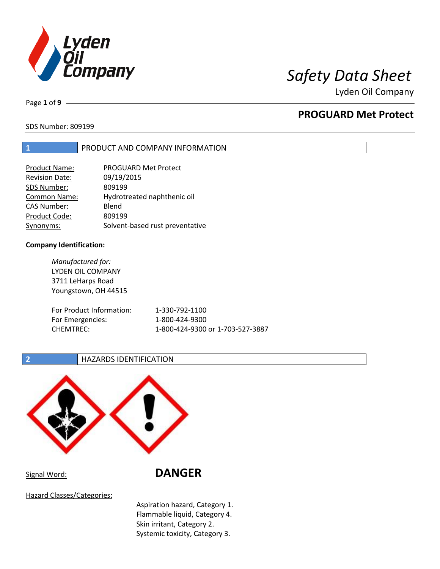

Page **1** of **9**

## **PROGUARD Met Protect**

### SDS Number: 809199

### **1** PRODUCT AND COMPANY INFORMATION

| <b>Product Name:</b>  | PROGUARD Met Protect            |
|-----------------------|---------------------------------|
| <b>Revision Date:</b> | 09/19/2015                      |
| SDS Number:           | 809199                          |
| <b>Common Name:</b>   | Hydrotreated naphthenic oil     |
| <b>CAS Number:</b>    | Blend                           |
| Product Code:         | 809199                          |
| Synonyms:             | Solvent-based rust preventative |

### **Company Identification:**

*Manufactured for:* LYDEN OIL COMPANY 3711 LeHarps Road Youngstown, OH 44515 For Product Information: 1-330-792-1100 For Emergencies: 1-800-424-9300 CHEMTREC: 1-800-424-9300 or 1-703-527-3887

### **2 HAZARDS IDENTIFICATION**



Signal Word: **DANGER**

Hazard Classes/Categories:

Aspiration hazard, Category 1. Flammable liquid, Category 4. Skin irritant, Category 2. Systemic toxicity, Category 3.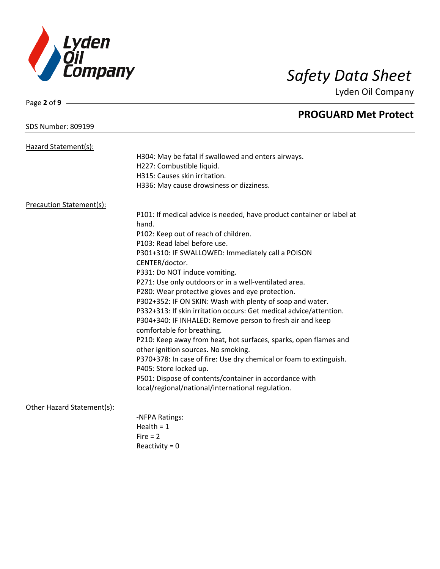

### SDS Number: 809199

Page **2** of **9**

# **PROGUARD Met Protect**

| Hazard Statement(s):       |                                                                       |
|----------------------------|-----------------------------------------------------------------------|
|                            | H304: May be fatal if swallowed and enters airways.                   |
|                            | H227: Combustible liquid.                                             |
|                            | H315: Causes skin irritation.                                         |
|                            | H336: May cause drowsiness or dizziness.                              |
| Precaution Statement(s):   |                                                                       |
|                            | P101: If medical advice is needed, have product container or label at |
|                            | hand.                                                                 |
|                            | P102: Keep out of reach of children.                                  |
|                            | P103: Read label before use.                                          |
|                            | P301+310: IF SWALLOWED: Immediately call a POISON                     |
|                            | CENTER/doctor.                                                        |
|                            | P331: Do NOT induce vomiting.                                         |
|                            | P271: Use only outdoors or in a well-ventilated area.                 |
|                            | P280: Wear protective gloves and eye protection.                      |
|                            | P302+352: IF ON SKIN: Wash with plenty of soap and water.             |
|                            | P332+313: If skin irritation occurs: Get medical advice/attention.    |
|                            | P304+340: IF INHALED: Remove person to fresh air and keep             |
|                            | comfortable for breathing.                                            |
|                            | P210: Keep away from heat, hot surfaces, sparks, open flames and      |
|                            | other ignition sources. No smoking.                                   |
|                            | P370+378: In case of fire: Use dry chemical or foam to extinguish.    |
|                            | P405: Store locked up.                                                |
|                            | P501: Dispose of contents/container in accordance with                |
|                            | local/regional/national/international regulation.                     |
| Other Hazard Statement(s): |                                                                       |
|                            | -NFPA Ratings:                                                        |
|                            | Health = $1$                                                          |
|                            | $Fire = 2$                                                            |
|                            | Reactivity = $0$                                                      |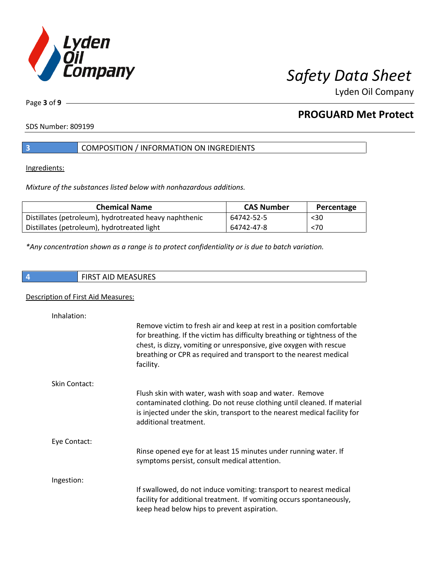

Page **3** of **9**

## **PROGUARD Met Protect**

SDS Number: 809199

### **3** COMPOSITION / INFORMATION ON INGREDIENTS

Ingredients:

*Mixture of the substances listed below with nonhazardous additions.*

| <b>Chemical Name</b>                                   | <b>CAS Number</b> | Percentage |
|--------------------------------------------------------|-------------------|------------|
| Distillates (petroleum), hydrotreated heavy naphthenic | 64742-52-5        | $30$       |
| Distillates (petroleum), hydrotreated light            | 64742-47-8        | < 70       |

*\*Any concentration shown as a range is to protect confidentiality or is due to batch variation.*

**4** FIRST AID MEASURES

### Description of First Aid Measures:

| Inhalation:          |                                                                                                                                                                                                                                                                                                            |
|----------------------|------------------------------------------------------------------------------------------------------------------------------------------------------------------------------------------------------------------------------------------------------------------------------------------------------------|
|                      | Remove victim to fresh air and keep at rest in a position comfortable<br>for breathing. If the victim has difficulty breathing or tightness of the<br>chest, is dizzy, vomiting or unresponsive, give oxygen with rescue<br>breathing or CPR as required and transport to the nearest medical<br>facility. |
| <b>Skin Contact:</b> |                                                                                                                                                                                                                                                                                                            |
|                      | Flush skin with water, wash with soap and water. Remove<br>contaminated clothing. Do not reuse clothing until cleaned. If material<br>is injected under the skin, transport to the nearest medical facility for<br>additional treatment.                                                                   |
| Eye Contact:         |                                                                                                                                                                                                                                                                                                            |
|                      | Rinse opened eye for at least 15 minutes under running water. If<br>symptoms persist, consult medical attention.                                                                                                                                                                                           |
| Ingestion:           |                                                                                                                                                                                                                                                                                                            |
|                      | If swallowed, do not induce vomiting: transport to nearest medical<br>facility for additional treatment. If vomiting occurs spontaneously,<br>keep head below hips to prevent aspiration.                                                                                                                  |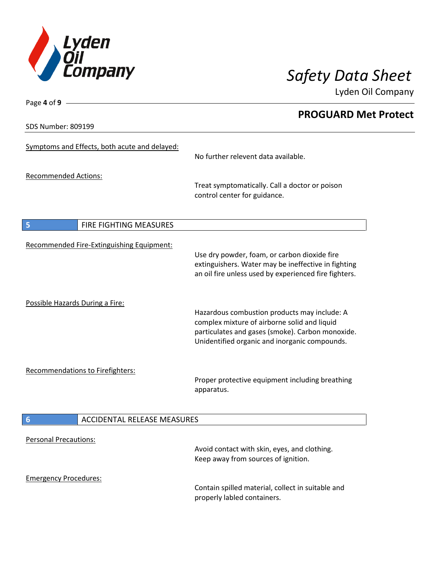

SDS Number: 809199

Page **4** of **9**

## **PROGUARD Met Protect**

|                                 | Symptoms and Effects, both acute and delayed: | No further relevent data available.                                                                                                                                                               |
|---------------------------------|-----------------------------------------------|---------------------------------------------------------------------------------------------------------------------------------------------------------------------------------------------------|
| <b>Recommended Actions:</b>     |                                               |                                                                                                                                                                                                   |
|                                 |                                               | Treat symptomatically. Call a doctor or poison<br>control center for guidance.                                                                                                                    |
| 5                               | FIRE FIGHTING MEASURES                        |                                                                                                                                                                                                   |
|                                 |                                               |                                                                                                                                                                                                   |
|                                 | Recommended Fire-Extinguishing Equipment:     | Use dry powder, foam, or carbon dioxide fire<br>extinguishers. Water may be ineffective in fighting<br>an oil fire unless used by experienced fire fighters.                                      |
|                                 |                                               |                                                                                                                                                                                                   |
| Possible Hazards During a Fire: |                                               | Hazardous combustion products may include: A<br>complex mixture of airborne solid and liquid<br>particulates and gases (smoke). Carbon monoxide.<br>Unidentified organic and inorganic compounds. |
|                                 |                                               |                                                                                                                                                                                                   |
|                                 | Recommendations to Firefighters:              | Proper protective equipment including breathing<br>apparatus.                                                                                                                                     |
| $6\phantom{1}6$                 | <b>ACCIDENTAL RELEASE MEASURES</b>            |                                                                                                                                                                                                   |
|                                 |                                               |                                                                                                                                                                                                   |
| <b>Personal Precautions:</b>    |                                               |                                                                                                                                                                                                   |
|                                 |                                               | Avoid contact with skin, eyes, and clothing.<br>Keep away from sources of ignition.                                                                                                               |
| <b>Emergency Procedures:</b>    |                                               | Contain spilled material, collect in suitable and<br>properly labled containers.                                                                                                                  |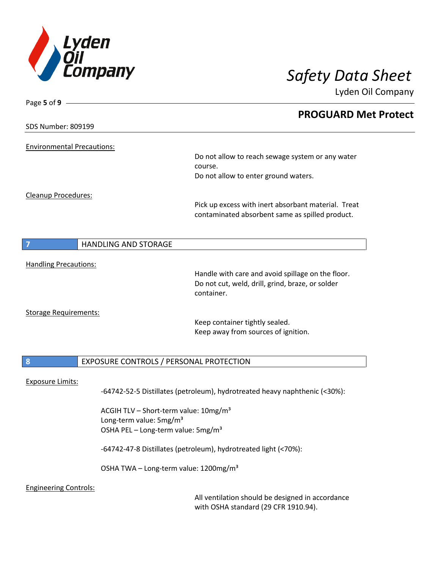

Page **5** of **9**

Lyden Oil Company

|                                   |                                                   | <b>PROGUARD Met Protect</b>                                                |
|-----------------------------------|---------------------------------------------------|----------------------------------------------------------------------------|
| <b>SDS Number: 809199</b>         |                                                   |                                                                            |
| <b>Environmental Precautions:</b> |                                                   |                                                                            |
|                                   |                                                   | Do not allow to reach sewage system or any water                           |
|                                   |                                                   | course.                                                                    |
|                                   |                                                   | Do not allow to enter ground waters.                                       |
| Cleanup Procedures:               |                                                   |                                                                            |
|                                   |                                                   | Pick up excess with inert absorbant material. Treat                        |
|                                   |                                                   | contaminated absorbent same as spilled product.                            |
|                                   |                                                   |                                                                            |
|                                   | HANDLING AND STORAGE                              |                                                                            |
|                                   |                                                   |                                                                            |
| <b>Handling Precautions:</b>      |                                                   | Handle with care and avoid spillage on the floor.                          |
|                                   |                                                   | Do not cut, weld, drill, grind, braze, or solder                           |
|                                   |                                                   | container.                                                                 |
| <b>Storage Requirements:</b>      |                                                   |                                                                            |
|                                   |                                                   | Keep container tightly sealed.                                             |
|                                   |                                                   | Keep away from sources of ignition.                                        |
|                                   |                                                   |                                                                            |
| 8                                 | EXPOSURE CONTROLS / PERSONAL PROTECTION           |                                                                            |
|                                   |                                                   |                                                                            |
| <b>Exposure Limits:</b>           |                                                   | -64742-52-5 Distillates (petroleum), hydrotreated heavy naphthenic (<30%): |
|                                   | ACGIH TLV - Short-term value: 10mg/m <sup>3</sup> |                                                                            |
|                                   | Long-term value: 5mg/m <sup>3</sup>               |                                                                            |
|                                   | OSHA PEL - Long-term value: 5mg/m <sup>3</sup>    |                                                                            |
|                                   |                                                   | -64742-47-8 Distillates (petroleum), hydrotreated light (<70%):            |
|                                   | OSHA TWA - Long-term value: 1200mg/m <sup>3</sup> |                                                                            |
| <b>Engineering Controls:</b>      |                                                   |                                                                            |
|                                   |                                                   | All ventilation should be designed in accordance                           |
|                                   |                                                   |                                                                            |

with OSHA standard (29 CFR 1910.94).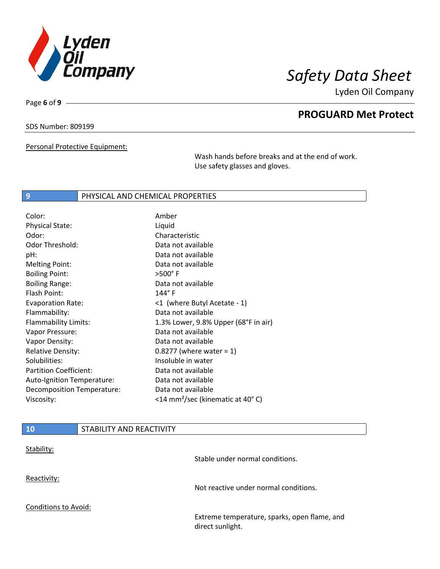

Page **6** of **9**

## **PROGUARD Met Protect**

SDS Number: 809199

Personal Protective Equipment:

Wash hands before breaks and at the end of work. Use safety glasses and gloves.

### **9** PHYSICAL AND CHEMICAL PROPERTIES

| Color:                        | Amber                                         |
|-------------------------------|-----------------------------------------------|
| <b>Physical State:</b>        | Liquid                                        |
| Odor:                         | Characteristic                                |
| <b>Odor Threshold:</b>        | Data not available                            |
| pH:                           | Data not available                            |
| <b>Melting Point:</b>         | Data not available                            |
| <b>Boiling Point:</b>         | >500°F                                        |
| <b>Boiling Range:</b>         | Data not available                            |
| Flash Point:                  | $144^{\circ}$ F                               |
| <b>Evaporation Rate:</b>      | <1 (where Butyl Acetate - 1)                  |
| Flammability:                 | Data not available                            |
| Flammability Limits:          | 1.3% Lower, 9.8% Upper (68°F in air)          |
| Vapor Pressure:               | Data not available                            |
| Vapor Density:                | Data not available                            |
| <b>Relative Density:</b>      | $0.8277$ (where water = 1)                    |
| Solubilities:                 | Insoluble in water                            |
| <b>Partition Coefficient:</b> | Data not available                            |
| Auto-Ignition Temperature:    | Data not available                            |
| Decomposition Temperature:    | Data not available                            |
| Viscosity:                    | <14 mm <sup>2</sup> /sec (kinematic at 40° C) |

| <b>10</b>            | STABILITY AND REACTIVITY |                                                                  |
|----------------------|--------------------------|------------------------------------------------------------------|
| Stability:           |                          | Stable under normal conditions.                                  |
| Reactivity:          |                          | Not reactive under normal conditions.                            |
| Conditions to Avoid: |                          | Extreme temperature, sparks, open flame, and<br>direct sunlight. |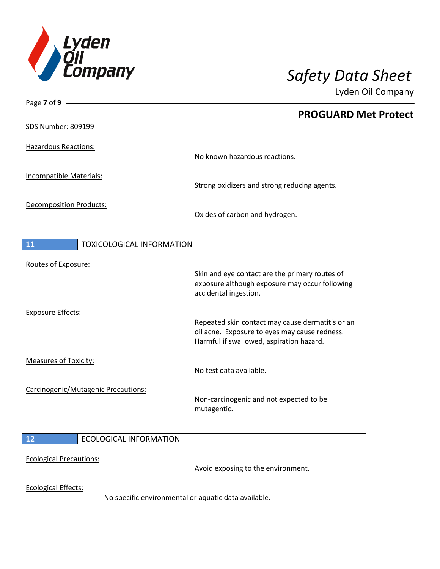

| Page $7$ of $9$ -                      |                                                  |
|----------------------------------------|--------------------------------------------------|
|                                        | <b>PROGUARD Met Protect</b>                      |
| <b>SDS Number: 809199</b>              |                                                  |
|                                        |                                                  |
| <b>Hazardous Reactions:</b>            | No known hazardous reactions.                    |
|                                        |                                                  |
| <b>Incompatible Materials:</b>         | Strong oxidizers and strong reducing agents.     |
|                                        |                                                  |
| <b>Decomposition Products:</b>         | Oxides of carbon and hydrogen.                   |
|                                        |                                                  |
| <b>TOXICOLOGICAL INFORMATION</b><br>11 |                                                  |
|                                        |                                                  |
| Routes of Exposure:                    |                                                  |
|                                        | Skin and eye contact are the primary routes of   |
|                                        | exposure although exposure may occur following   |
|                                        | accidental ingestion.                            |
| <b>Exposure Effects:</b>               |                                                  |
|                                        | Repeated skin contact may cause dermatitis or an |
|                                        | oil acne. Exposure to eyes may cause redness.    |
|                                        | Harmful if swallowed, aspiration hazard.         |
| <b>Measures of Toxicity:</b>           |                                                  |
|                                        | No test data available.                          |
| Carcinogenic/Mutagenic Precautions:    |                                                  |
|                                        | Non-carcinogenic and not expected to be          |
|                                        | mutagentic.                                      |
|                                        |                                                  |
| <b>ECOLOGICAL INFORMATION</b><br>12    |                                                  |
| <b>Ecological Precautions:</b>         |                                                  |
|                                        | Avoid exposing to the environment.               |
| <b>Ecological Effects:</b>             |                                                  |

No specific environmental or aquatic data available.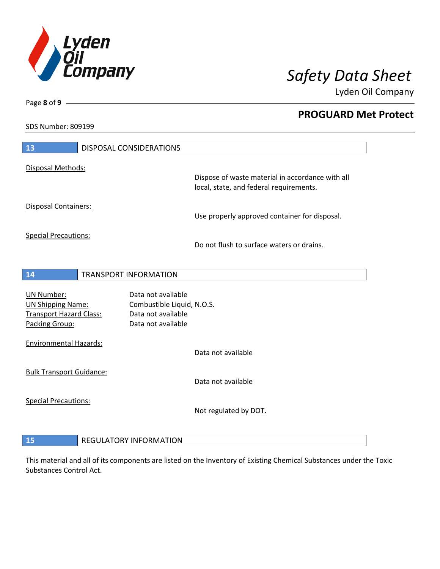

**PROGUARD Met Protect**

Lyden Oil Company

SDS Number: 809199

Page **8** of **9**

 $\overline{\phantom{a}}$ 

| 13                                                                                                | <b>DISPOSAL CONSIDERATIONS</b>                                 |                                                                                             |
|---------------------------------------------------------------------------------------------------|----------------------------------------------------------------|---------------------------------------------------------------------------------------------|
| Disposal Methods:                                                                                 |                                                                |                                                                                             |
|                                                                                                   |                                                                | Dispose of waste material in accordance with all<br>local, state, and federal requirements. |
| Disposal Containers:                                                                              |                                                                | Use properly approved container for disposal.                                               |
| <b>Special Precautions:</b>                                                                       |                                                                | Do not flush to surface waters or drains.                                                   |
| 14                                                                                                | <b>TRANSPORT INFORMATION</b>                                   |                                                                                             |
| <b>UN Number:</b><br><b>UN Shipping Name:</b><br><b>Transport Hazard Class:</b><br>Packing Group: | Data not available<br>Data not available<br>Data not available | Combustible Liquid, N.O.S.                                                                  |
| <b>Environmental Hazards:</b>                                                                     |                                                                | Data not available                                                                          |
| <b>Bulk Transport Guidance:</b>                                                                   |                                                                | Data not available                                                                          |
| <b>Special Precautions:</b>                                                                       |                                                                | Not regulated by DOT.                                                                       |
| 15                                                                                                | <b>REGULATORY INFORMATION</b>                                  |                                                                                             |

This material and all of its components are listed on the Inventory of Existing Chemical Substances under the Toxic Substances Control Act.